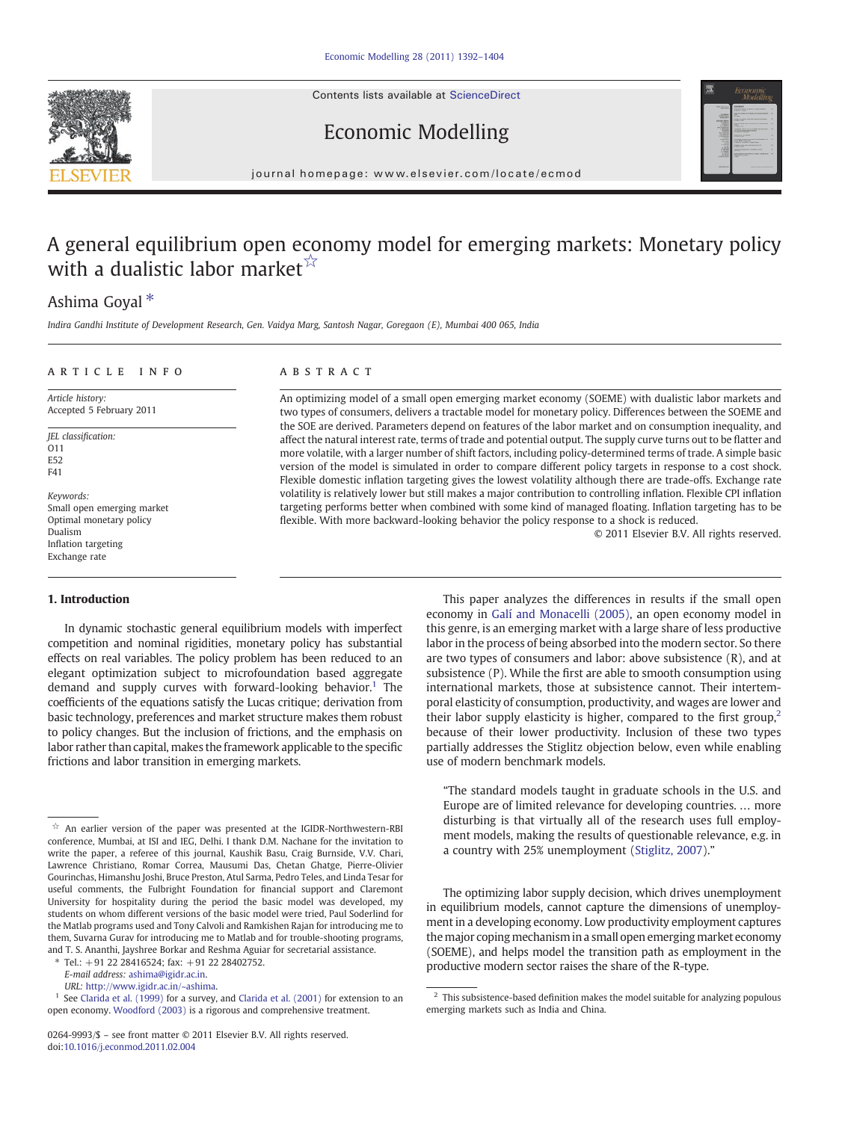Contents lists available at [ScienceDirect](http://www.sciencedirect.com/science/journal/02649993)





Economic Modelling

journal homepage: www.elsevier.com/locate/ecmod

# A general equilibrium open economy model for emerging markets: Monetary policy with a dualistic labor market<sup>☆</sup>

## Ashima Goyal ⁎

Indira Gandhi Institute of Development Research, Gen. Vaidya Marg, Santosh Nagar, Goregaon (E), Mumbai 400 065, India

### ARTICLE INFO ABSTRACT

Article history: Accepted 5 February 2011

JEL classification: O11 E52 F41

Keywords: Small open emerging market Optimal monetary policy Dualism Inflation targeting Exchange rate

#### 1. Introduction

In dynamic stochastic general equilibrium models with imperfect competition and nominal rigidities, monetary policy has substantial effects on real variables. The policy problem has been reduced to an elegant optimization subject to microfoundation based aggregate demand and supply curves with forward-looking behavior.<sup>1</sup> The coefficients of the equations satisfy the Lucas critique; derivation from basic technology, preferences and market structure makes them robust to policy changes. But the inclusion of frictions, and the emphasis on labor rather than capital, makes the framework applicable to the specific frictions and labor transition in emerging markets.

An optimizing model of a small open emerging market economy (SOEME) with dualistic labor markets and two types of consumers, delivers a tractable model for monetary policy. Differences between the SOEME and the SOE are derived. Parameters depend on features of the labor market and on consumption inequality, and affect the natural interest rate, terms of trade and potential output. The supply curve turns out to be flatter and more volatile, with a larger number of shift factors, including policy-determined terms of trade. A simple basic version of the model is simulated in order to compare different policy targets in response to a cost shock. Flexible domestic inflation targeting gives the lowest volatility although there are trade-offs. Exchange rate volatility is relatively lower but still makes a major contribution to controlling inflation. Flexible CPI inflation targeting performs better when combined with some kind of managed floating. Inflation targeting has to be flexible. With more backward-looking behavior the policy response to a shock is reduced.

© 2011 Elsevier B.V. All rights reserved.

This paper analyzes the differences in results if the small open economy in [Galí and Monacelli \(2005\),](#page--1-0) an open economy model in this genre, is an emerging market with a large share of less productive labor in the process of being absorbed into the modern sector. So there are two types of consumers and labor: above subsistence (R), and at subsistence (P). While the first are able to smooth consumption using international markets, those at subsistence cannot. Their intertemporal elasticity of consumption, productivity, and wages are lower and their labor supply elasticity is higher, compared to the first group,<sup>2</sup> because of their lower productivity. Inclusion of these two types partially addresses the Stiglitz objection below, even while enabling use of modern benchmark models.

"The standard models taught in graduate schools in the U.S. and Europe are of limited relevance for developing countries. … more disturbing is that virtually all of the research uses full employment models, making the results of questionable relevance, e.g. in a country with 25% unemployment [\(Stiglitz, 2007](#page--1-0))."

The optimizing labor supply decision, which drives unemployment in equilibrium models, cannot capture the dimensions of unemployment in a developing economy. Low productivity employment captures the major coping mechanism in a small open emerging market economy (SOEME), and helps model the transition path as employment in the productive modern sector raises the share of the R-type.

 $\overrightarrow{x}$  An earlier version of the paper was presented at the IGIDR-Northwestern-RBI conference, Mumbai, at ISI and IEG, Delhi. I thank D.M. Nachane for the invitation to write the paper, a referee of this journal, Kaushik Basu, Craig Burnside, V.V. Chari, Lawrence Christiano, Romar Correa, Mausumi Das, Chetan Ghatge, Pierre-Olivier Gourinchas, Himanshu Joshi, Bruce Preston, Atul Sarma, Pedro Teles, and Linda Tesar for useful comments, the Fulbright Foundation for financial support and Claremont University for hospitality during the period the basic model was developed, my students on whom different versions of the basic model were tried, Paul Soderlind for the Matlab programs used and Tony Calvoli and Ramkishen Rajan for introducing me to them, Suvarna Gurav for introducing me to Matlab and for trouble-shooting programs, and T. S. Ananthi, Jayshree Borkar and Reshma Aguiar for secretarial assistance.

 $*$  Tel.:  $+91$  22 28416524; fax:  $+91$  22 28402752.

E-mail address: [ashima@igidr.ac.in](mailto:ashima@igidr.ac.in).

URL: [http://www.igidr.ac.in/~ashima.](http://www.igidr.ac.in/~ashima)

 $1$  See [Clarida et al. \(1999\)](#page--1-0) for a survey, and [Clarida et al. \(2001\)](#page--1-0) for extension to an open economy. [Woodford \(2003\)](#page--1-0) is a rigorous and comprehensive treatment.

<sup>0264-9993/\$</sup> – see front matter © 2011 Elsevier B.V. All rights reserved. doi[:10.1016/j.econmod.2011.02.004](http://dx.doi.org/10.1016/j.econmod.2011.02.004)

 $2$  This subsistence-based definition makes the model suitable for analyzing populous emerging markets such as India and China.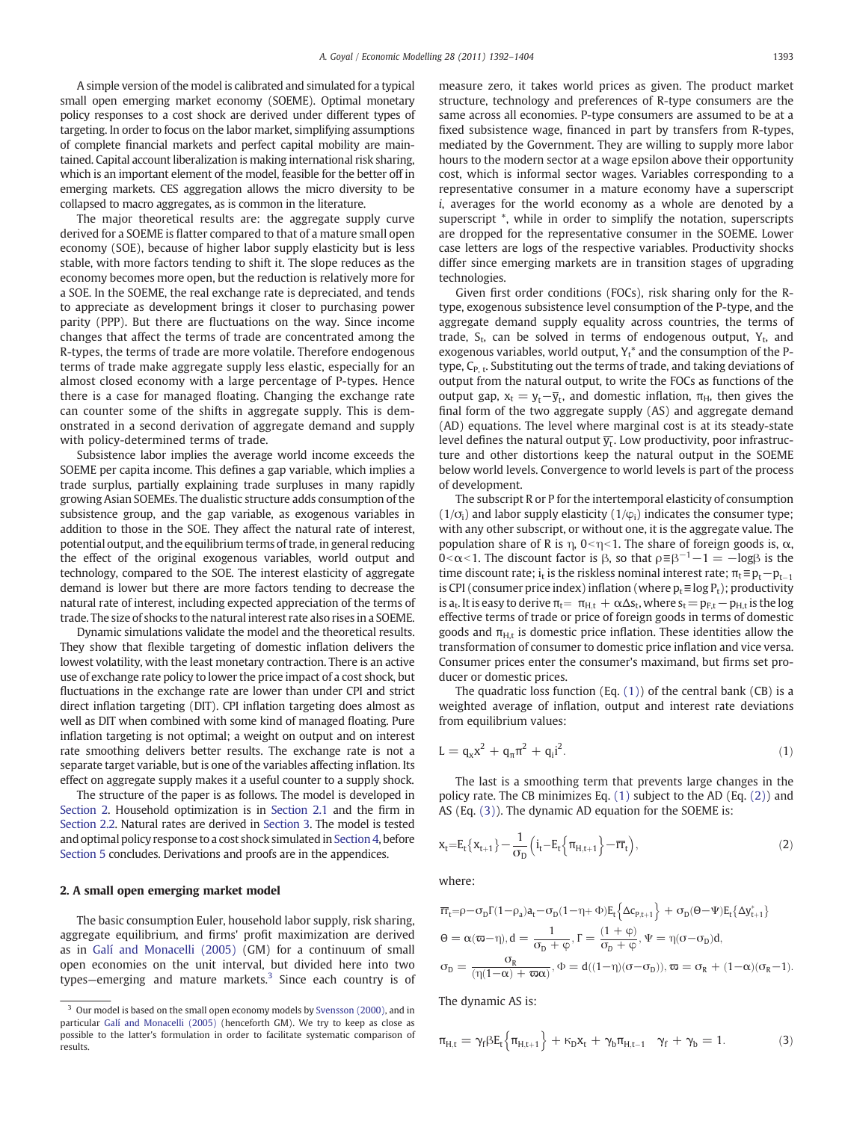A simple version of the model is calibrated and simulated for a typical small open emerging market economy (SOEME). Optimal monetary policy responses to a cost shock are derived under different types of targeting. In order to focus on the labor market, simplifying assumptions of complete financial markets and perfect capital mobility are maintained. Capital account liberalization is making international risk sharing, which is an important element of the model, feasible for the better off in emerging markets. CES aggregation allows the micro diversity to be collapsed to macro aggregates, as is common in the literature.

The major theoretical results are: the aggregate supply curve derived for a SOEME is flatter compared to that of a mature small open economy (SOE), because of higher labor supply elasticity but is less stable, with more factors tending to shift it. The slope reduces as the economy becomes more open, but the reduction is relatively more for a SOE. In the SOEME, the real exchange rate is depreciated, and tends to appreciate as development brings it closer to purchasing power parity (PPP). But there are fluctuations on the way. Since income changes that affect the terms of trade are concentrated among the R-types, the terms of trade are more volatile. Therefore endogenous terms of trade make aggregate supply less elastic, especially for an almost closed economy with a large percentage of P-types. Hence there is a case for managed floating. Changing the exchange rate can counter some of the shifts in aggregate supply. This is demonstrated in a second derivation of aggregate demand and supply with policy-determined terms of trade.

Subsistence labor implies the average world income exceeds the SOEME per capita income. This defines a gap variable, which implies a trade surplus, partially explaining trade surpluses in many rapidly growing Asian SOEMEs. The dualistic structure adds consumption of the subsistence group, and the gap variable, as exogenous variables in addition to those in the SOE. They affect the natural rate of interest, potential output, and the equilibrium terms of trade, in general reducing the effect of the original exogenous variables, world output and technology, compared to the SOE. The interest elasticity of aggregate demand is lower but there are more factors tending to decrease the natural rate of interest, including expected appreciation of the terms of trade. The size of shocks to the natural interest rate also rises in a SOEME.

Dynamic simulations validate the model and the theoretical results. They show that flexible targeting of domestic inflation delivers the lowest volatility, with the least monetary contraction. There is an active use of exchange rate policy to lower the price impact of a cost shock, but fluctuations in the exchange rate are lower than under CPI and strict direct inflation targeting (DIT). CPI inflation targeting does almost as well as DIT when combined with some kind of managed floating. Pure inflation targeting is not optimal; a weight on output and on interest rate smoothing delivers better results. The exchange rate is not a separate target variable, but is one of the variables affecting inflation. Its effect on aggregate supply makes it a useful counter to a supply shock.

The structure of the paper is as follows. The model is developed in Section 2. Household optimization is in [Section 2.1](#page--1-0) and the firm in [Section 2.2](#page--1-0). Natural rates are derived in [Section 3](#page--1-0). The model is tested and optimal policy response to a cost shock simulated in [Section 4,](#page--1-0) before [Section 5](#page--1-0) concludes. Derivations and proofs are in the appendices.

#### 2. A small open emerging market model

The basic consumption Euler, household labor supply, risk sharing, aggregate equilibrium, and firms' profit maximization are derived as in [Galí and Monacelli \(2005\)](#page--1-0) (GM) for a continuum of small open economies on the unit interval, but divided here into two types—emerging and mature markets.<sup>3</sup> Since each country is of measure zero, it takes world prices as given. The product market structure, technology and preferences of R-type consumers are the same across all economies. P-type consumers are assumed to be at a fixed subsistence wage, financed in part by transfers from R-types, mediated by the Government. They are willing to supply more labor hours to the modern sector at a wage epsilon above their opportunity cost, which is informal sector wages. Variables corresponding to a representative consumer in a mature economy have a superscript i, averages for the world economy as a whole are denoted by a superscript \*, while in order to simplify the notation, superscripts are dropped for the representative consumer in the SOEME. Lower case letters are logs of the respective variables. Productivity shocks differ since emerging markets are in transition stages of upgrading technologies.

Given first order conditions (FOCs), risk sharing only for the Rtype, exogenous subsistence level consumption of the P-type, and the aggregate demand supply equality across countries, the terms of trade,  $S_t$ , can be solved in terms of endogenous output,  $Y_t$ , and exogenous variables, world output,  $Y_t^*$  and the consumption of the Ptype, C<sub>P, t</sub>. Substituting out the terms of trade, and taking deviations of output from the natural output, to write the FOCs as functions of the output gap,  $x_t = y_t - \overline{y}_t$ , and domestic inflation,  $\pi_H$ , then gives the final form of the two aggregate supply (AS) and aggregate demand (AD) equations. The level where marginal cost is at its steady-state level defines the natural output  $\overline{y_t}$ . Low productivity, poor infrastructure and other distortions keep the natural output in the SOEME below world levels. Convergence to world levels is part of the process of development.

The subscript R or P for the intertemporal elasticity of consumption  $(1/\sigma_i)$  and labor supply elasticity  $(1/\phi_i)$  indicates the consumer type; with any other subscript, or without one, it is the aggregate value. The population share of R is η,  $0 <$  η $<$  1. The share of foreign goods is,  $\alpha$ ,  $0<\alpha<1$ . The discount factor is β, so that  $\rho \equiv \beta^{-1}-1 = -\log\beta$  is the time discount rate; i<sub>t</sub> is the riskless nominal interest rate;  $\pi_t$  ≡  $p_t$  –  $p_{t-1}$ is CPI (consumer price index) inflation (where  $p_t \equiv \log P_t$ ); productivity is  $a_t$ . It is easy to derive  $\pi_t = \pi_{H,t} + \alpha \Delta s_t$ , where  $s_t = p_{F,t} - p_{H,t}$  is the log effective terms of trade or price of foreign goods in terms of domestic goods and  $\pi_{H,t}$  is domestic price inflation. These identities allow the transformation of consumer to domestic price inflation and vice versa. Consumer prices enter the consumer's maximand, but firms set producer or domestic prices.

The quadratic loss function  $(Eq. (1))$  of the central bank  $(CB)$  is a weighted average of inflation, output and interest rate deviations from equilibrium values:

$$
L = q_x x^2 + q_\pi \pi^2 + q_i i^2. \tag{1}
$$

The last is a smoothing term that prevents large changes in the policy rate. The CB minimizes Eq. (1) subject to the AD (Eq. (2)) and AS (Eq. (3)). The dynamic AD equation for the SOEME is:

$$
x_{t} = E_{t} \{ x_{t+1} \} - \frac{1}{\sigma_{D}} \left( i_{t} - E_{t} \{ \pi_{H, t+1} \} - \overline{r} \overline{r}_{t} \right),
$$
 (2)

where:

$$
\begin{aligned} &\overline{rr}_t{=}\rho{-}\sigma_D\Gamma(1{-}\rho_a)a_t{-}\sigma_D(1{-}\eta{+}\Phi)E_t\Big\{\Delta c_{P,t+1}\Big\}+\sigma_D(\Theta{-}\Psi)E_t\big\{\Delta y^*_{t+1}\big\}\\ &\Theta=\alpha(\varpi{-}\eta), d=\frac{1}{\sigma_D+\phi}, \Gamma=\frac{(1+\phi)}{\sigma_D+\phi}, \Psi=\eta(\sigma{-}\sigma_D)d,\\ &\sigma_D=\frac{\sigma_R}{(\eta(1{-}\alpha)+\varpi\alpha)}, \Phi=d((1{-}\eta)(\sigma{-}\sigma_D)), \varpi=\sigma_R+(1{-}\alpha)(\sigma_R{-}1). \end{aligned}
$$

The dynamic AS is:

$$
\pi_{H,t} = \gamma_f \beta E_t \left\{ \pi_{H,t+1} \right\} + \kappa_D x_t + \gamma_b \pi_{H,t-1} \quad \gamma_f + \gamma_b = 1. \tag{3}
$$

 $3$  Our model is based on the small open economy models by [Svensson \(2000\)](#page--1-0), and in particular [Galí and Monacelli \(2005\)](#page--1-0) (henceforth GM). We try to keep as close as possible to the latter's formulation in order to facilitate systematic comparison of results.